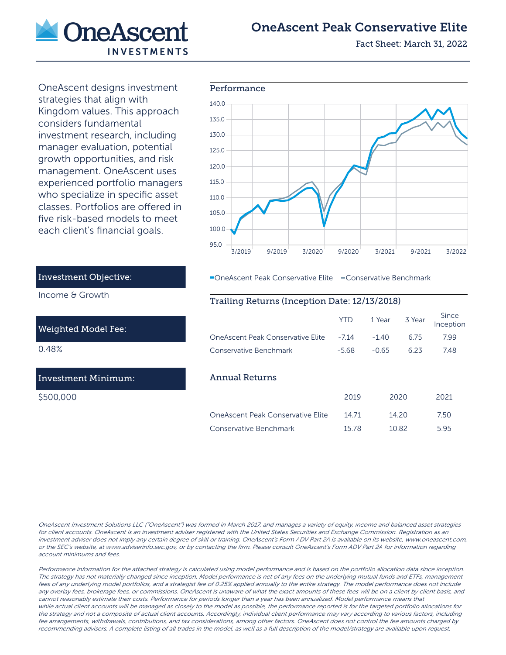

# OneAscent Peak Conservative Elite

Fact Sheet: March 31, 2022

OneAscent designs investment strategies that align with Kingdom values. This approach considers fundamental investment research, including manager evaluation, potential growth opportunities, and risk management. OneAscent uses experienced portfolio managers who specialize in specific asset classes. Portfolios are offered in five risk-based models to meet each client's financial goals.



OneAscent Peak Conservative Elite Conservative Benchmark

## Trailing Returns (Inception Date: 12/13/2018)

|                                   | YTD     | 1 Year  | 3 Year | Since<br>Inception |
|-----------------------------------|---------|---------|--------|--------------------|
| OneAscent Peak Conservative Elite | $-7.14$ | $-1.40$ | 6.75   | 7.99               |
| Conservative Benchmark            | $-5.68$ | $-0.65$ | 623    | 748                |
|                                   |         |         |        |                    |
| <b>Annual Returns</b>             |         |         |        |                    |
|                                   | 2019    |         | 2020   | 2021               |
| OneAscent Peak Conservative Flite | 1471    |         | 1420   | 7.50               |
| Conservative Benchmark            | 15 78   |         | 10.82  | 5.95               |

Investment Objective:

Income & Growth

#### Weighted Model Fee:

0.48%

## Investment Minimum:

\$500,000

OneAscent Investment Solutions LLC ("OneAscent") was formed in March 2017, and manages a variety of equity, income and balanced asset strategies for client accounts. OneAscent is an investment adviser registered with the United States Securities and Exchange Commission. Registration as an investment adviser does not imply any certain degree of skill or training. OneAscent's Form ADV Part 2A is available on its website, www.oneascent.com, or the SEC's website, at www.adviserinfo.sec.gov, or by contacting the firm. Please consult OneAscent's Form ADV Part 2A for information regarding account minimums and fees.

Performance information for the attached strategy is calculated using model performance and is based on the portfolio allocation data since inception. The strategy has not materially changed since inception. Model performance is net of any fees on the underlying mutual funds and ETFs, management fees of any underlying model portfolios, and a strategist fee of 0.25% applied annually to the entire strategy. The model performance does not include any overlay fees, brokerage fees, or commissions. OneAscent is unaware of what the exact amounts of these fees will be on a client by client basis, and cannot reasonably estimate their costs. Performance for periods longer than a year has been annualized. Model performance means that while actual client accounts will be managed as closely to the model as possible, the performance reported is for the targeted portfolio allocations for the strategy and not a composite of actual client accounts. Accordingly, individual client performance may vary according to various factors, including fee arrangements, withdrawals, contributions, and tax considerations, among other factors. OneAscent does not control the fee amounts charged by recommending advisers. A complete listing of all trades in the model, as well as a full description of the model/strategy are available upon request.